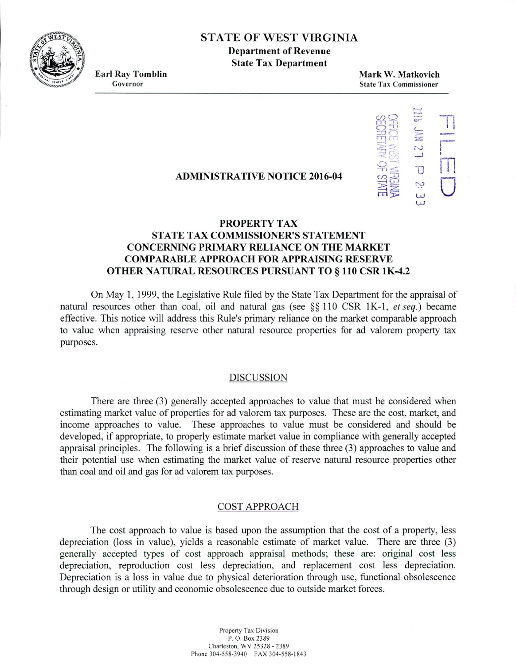**EST** STATE OF WEST VIRGINIA

**Department of Revenue State Tax Department**

**Earl Ray Tomblin**<br> **Earl Ray Tomblin**<br> **Earl Ray Tomblin**<br> **Mark W. Matkovich**<br> **Mark W. Matkovich**<br> **State Tax Commissioner State Tax Commissioner** 



### **ADMINISTRATIVE NOTICE 2016-04**

# **PROPERTY TAX STATE TAX COMMISSIONER'S STATEMENT CONCERNING PRIMARY RELIANCE ON THE MARKET COMPARABLE APPROACH FOR APPRAISING RESERVE OTHER NATURAL RESOURCES PURSUANT TO** § **110 CSR 1K-4.2**

On May 1, 1999, the Legislative Rule filed by the State Tax Department for the appraisal of natural resources other than coal, oil and natural gas (see  $\S$ § 110 CSR 1K-1, *et seq.*) became effective. This notice will address this Rule's primary reliance on the market comparable approach to value when appraising reserve other natural resource properties for ad valorem property tax purposes.

#### DISCUSSION

There are three (3) generally accepted approaches to value that must be considered when estimating market value of properties for ad valorem tax purposes. These are the cost, market, and income approaches to value. These approaches to value must be considered and should be developed, if appropriate, to properly estimate market value in compliance with generally accepted appraisal principles. The following is a brief discussion of these three (3) approaches to value and their potential use when estimating the market value of reserve natural resource properties other than coal and oil and gas for ad valorem tax purposes.

### COST APPROACH

The cost approach to value is based upon the assumption that the cost of a property, less depreciation (loss in value), yields a reasonable estimate of market value. There are three (3) generally accepted types of cost approach appraisal methods; these are: original cost less depreciation, reproduction cost less depreciation, and replacement cost less depreciation. Depreciation is a loss in value due to physical deterioration through use, functional obsolescence through design or utility and economic obsolescence due to outside market forces.

> Property Tax Division P. 0. Box 2389 Charleston. WV *25328 -* 2389 Phone 304-558-3940 FAX 304-558-1843

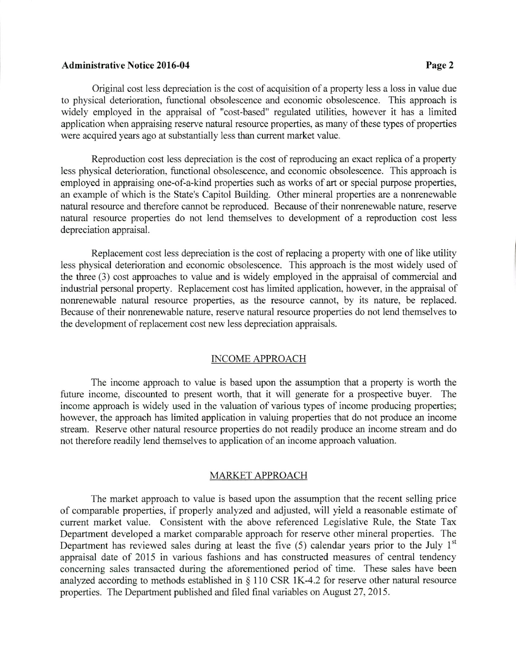# **Administrative Notice 2016-04 Page 2**

Original cost less depreciation is the cost of acquisition of a property less a loss in value due to physical deterioration, functional obsolescence and economic obsolescence. This approach is widely employed in the appraisal of "cost-based" regulated utilities, however it has a limited application when appraising reserve natural resource properties, as many of these types of properties were acquired years ago at substantially less than current market value.

Reproduction cost less depreciation is the cost of reproducing an exact replica of a property less physical deterioration, functional obsolescence, and economic obsolescence. This approach is employed in appraising one-of-a-kind properties such as works of art or special purpose properties, an example of which is the State's Capitol Building. Other mineral properties are a nonrenewable natural resource and therefore cannot be reproduced. Because of their nonrenewable nature, reserve natural resource properties do not lend themselves to development of a reproduction cost less depreciation appraisal.

Replacement cost less depreciation is the cost of replacing a property with one of like utility less physical deterioration and economic obsolescence. This approach is the most widely used of the three (3) cost approaches to value and is widely employed in the appraisal of commercial and industrial personal property. Replacement cost has limited application, however, in the appraisal of nonrenewable natural resource properties, as the resource cannot, by its nature, be replaced. Because of their nonrenewable nature, reserve natural resource properties do not lend themselves to the development of replacement cost new less depreciation appraisals.

### INCOME APPROACH

The income approach to value is based upon the assumption that a property is worth the future income, discounted to present worth, that it will generate for a prospective buyer. The income approach is widely used in the valuation of various types of income producing properties; however, the approach has limited application in valuing properties that do not produce an income stream. Reserve other natural resource properties do not readily produce an income stream and do not therefore readily lend themselves to application of an income approach valuation.

# MARKET APPROACH

The market approach to value is based upon the assumption that the recent selling price of comparable properties, if properly analyzed and adjusted, will yield a reasonable estimate of current market value. Consistent with the above referenced Legislative Rule, the State Tax Department developed a market comparable approach for reserve other mineral properties. The Department has reviewed sales during at least the five (5) calendar years prior to the July 1<sup>st</sup> appraisal date of 2015 in various fashions and has constructed measures of central tendency concerning sales transacted during the aforementioned period of time. These sales have been analyzed according to methods established in § 110 CSR 1K-4.2 for reserve other natural resource properties. The Department published and filed final variables on August 27, 2015.